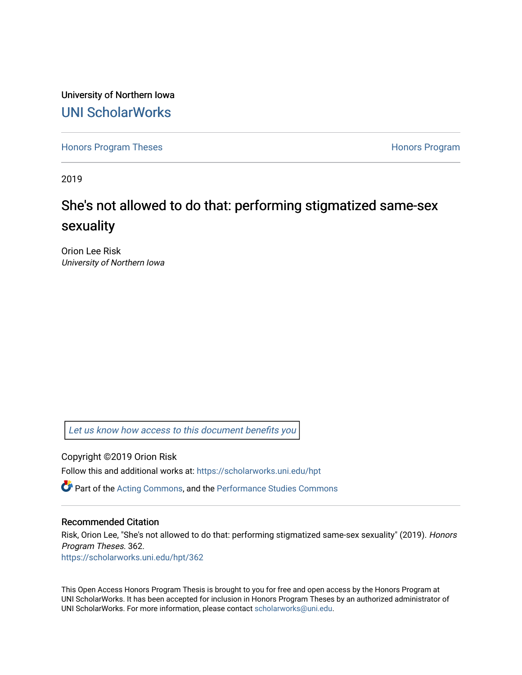University of Northern Iowa [UNI ScholarWorks](https://scholarworks.uni.edu/) 

[Honors Program Theses](https://scholarworks.uni.edu/hpt) **Honors Program** Honors Program

2019

# She's not allowed to do that: performing stigmatized same-sex sexuality

Orion Lee Risk University of Northern Iowa

[Let us know how access to this document benefits you](https://scholarworks.uni.edu/feedback_form.html) 

Copyright ©2019 Orion Risk

Follow this and additional works at: [https://scholarworks.uni.edu/hpt](https://scholarworks.uni.edu/hpt?utm_source=scholarworks.uni.edu%2Fhpt%2F362&utm_medium=PDF&utm_campaign=PDFCoverPages) 

Part of the [Acting Commons](http://network.bepress.com/hgg/discipline/1145?utm_source=scholarworks.uni.edu%2Fhpt%2F362&utm_medium=PDF&utm_campaign=PDFCoverPages), and the [Performance Studies Commons](http://network.bepress.com/hgg/discipline/556?utm_source=scholarworks.uni.edu%2Fhpt%2F362&utm_medium=PDF&utm_campaign=PDFCoverPages) 

### Recommended Citation

Risk, Orion Lee, "She's not allowed to do that: performing stigmatized same-sex sexuality" (2019). Honors Program Theses. 362. [https://scholarworks.uni.edu/hpt/362](https://scholarworks.uni.edu/hpt/362?utm_source=scholarworks.uni.edu%2Fhpt%2F362&utm_medium=PDF&utm_campaign=PDFCoverPages) 

This Open Access Honors Program Thesis is brought to you for free and open access by the Honors Program at UNI ScholarWorks. It has been accepted for inclusion in Honors Program Theses by an authorized administrator of

UNI ScholarWorks. For more information, please contact [scholarworks@uni.edu.](mailto:scholarworks@uni.edu)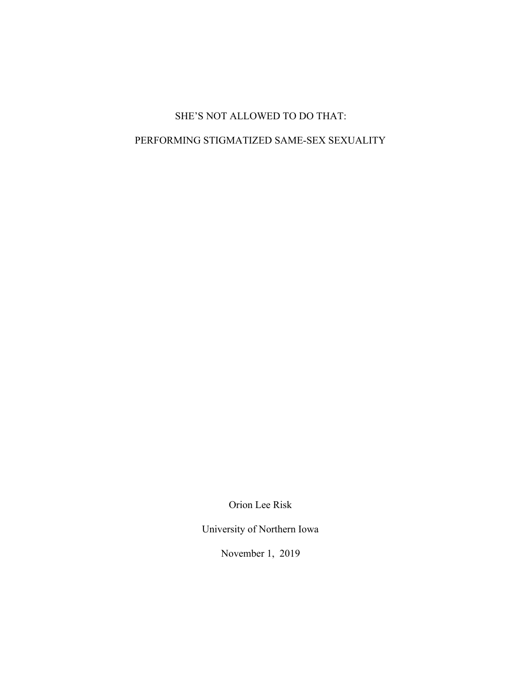## SHE'S NOT ALLOWED TO DO THAT:

## PERFORMING STIGMATIZED SAME-SEX SEXUALITY

Orion Lee Risk

University of Northern Iowa

November 1, 2019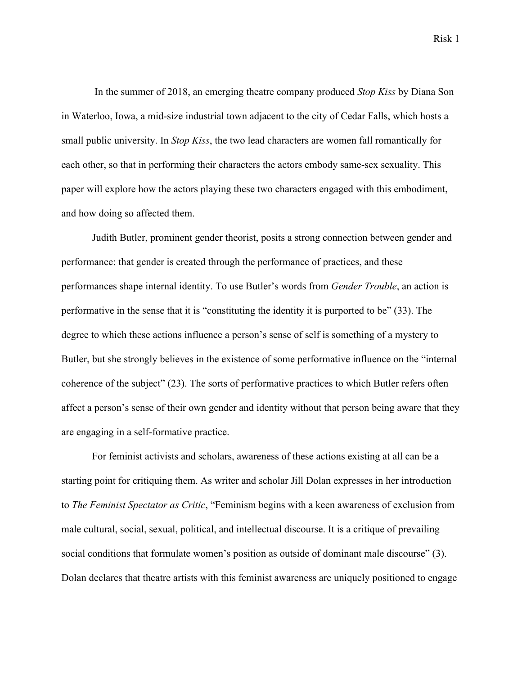Risk 1

 In the summer of 2018, an emerging theatre company produced *Stop Kiss* by Diana Son in Waterloo, Iowa, a mid-size industrial town adjacent to the city of Cedar Falls, which hosts a small public university. In *Stop Kiss*, the two lead characters are women fall romantically for each other, so that in performing their characters the actors embody same-sex sexuality. This paper will explore how the actors playing these two characters engaged with this embodiment, and how doing so affected them.

Judith Butler, prominent gender theorist, posits a strong connection between gender and performance: that gender is created through the performance of practices, and these performances shape internal identity. To use Butler's words from *Gender Trouble*, an action is performative in the sense that it is "constituting the identity it is purported to be" (33). The degree to which these actions influence a person's sense of self is something of a mystery to Butler, but she strongly believes in the existence of some performative influence on the "internal coherence of the subject" (23). The sorts of performative practices to which Butler refers often affect a person's sense of their own gender and identity without that person being aware that they are engaging in a self-formative practice.

For feminist activists and scholars, awareness of these actions existing at all can be a starting point for critiquing them. As writer and scholar Jill Dolan expresses in her introduction to *The Feminist Spectator as Critic*, "Feminism begins with a keen awareness of exclusion from male cultural, social, sexual, political, and intellectual discourse. It is a critique of prevailing social conditions that formulate women's position as outside of dominant male discourse" (3). Dolan declares that theatre artists with this feminist awareness are uniquely positioned to engage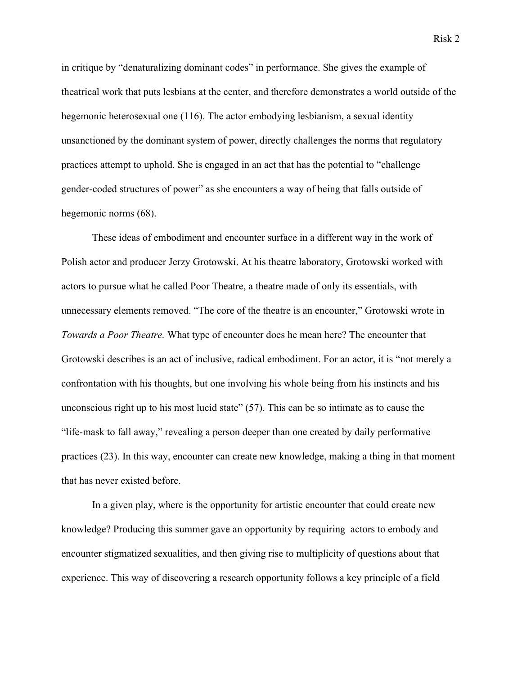in critique by "denaturalizing dominant codes" in performance. She gives the example of theatrical work that puts lesbians at the center, and therefore demonstrates a world outside of the hegemonic heterosexual one (116). The actor embodying lesbianism, a sexual identity unsanctioned by the dominant system of power, directly challenges the norms that regulatory practices attempt to uphold. She is engaged in an act that has the potential to "challenge gender-coded structures of power" as she encounters a way of being that falls outside of hegemonic norms (68).

These ideas of embodiment and encounter surface in a different way in the work of Polish actor and producer Jerzy Grotowski. At his theatre laboratory, Grotowski worked with actors to pursue what he called Poor Theatre, a theatre made of only its essentials, with unnecessary elements removed. "The core of the theatre is an encounter," Grotowski wrote in *Towards a Poor Theatre.* What type of encounter does he mean here? The encounter that Grotowski describes is an act of inclusive, radical embodiment. For an actor, it is "not merely a confrontation with his thoughts, but one involving his whole being from his instincts and his unconscious right up to his most lucid state" (57). This can be so intimate as to cause the "life-mask to fall away," revealing a person deeper than one created by daily performative practices (23). In this way, encounter can create new knowledge, making a thing in that moment that has never existed before.

In a given play, where is the opportunity for artistic encounter that could create new knowledge? Producing this summer gave an opportunity by requiring actors to embody and encounter stigmatized sexualities, and then giving rise to multiplicity of questions about that experience. This way of discovering a research opportunity follows a key principle of a field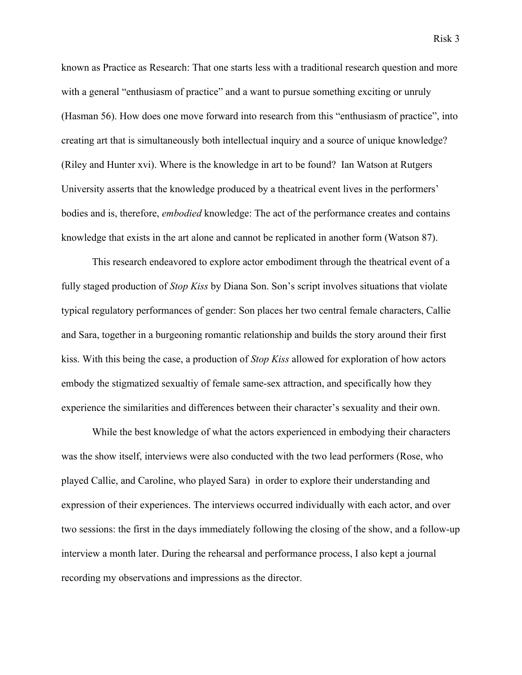known as Practice as Research: That one starts less with a traditional research question and more with a general "enthusiasm of practice" and a want to pursue something exciting or unruly (Hasman 56). How does one move forward into research from this "enthusiasm of practice", into creating art that is simultaneously both intellectual inquiry and a source of unique knowledge? (Riley and Hunter xvi). Where is the knowledge in art to be found? Ian Watson at Rutgers University asserts that the knowledge produced by a theatrical event lives in the performers' bodies and is, therefore, *embodied* knowledge: The act of the performance creates and contains knowledge that exists in the art alone and cannot be replicated in another form (Watson 87).

This research endeavored to explore actor embodiment through the theatrical event of a fully staged production of *Stop Kiss* by Diana Son. Son's script involves situations that violate typical regulatory performances of gender: Son places her two central female characters, Callie and Sara, together in a burgeoning romantic relationship and builds the story around their first kiss. With this being the case, a production of *Stop Kiss* allowed for exploration of how actors embody the stigmatized sexualtiy of female same-sex attraction, and specifically how they experience the similarities and differences between their character's sexuality and their own.

While the best knowledge of what the actors experienced in embodying their characters was the show itself, interviews were also conducted with the two lead performers (Rose, who played Callie, and Caroline, who played Sara) in order to explore their understanding and expression of their experiences. The interviews occurred individually with each actor, and over two sessions: the first in the days immediately following the closing of the show, and a follow-up interview a month later. During the rehearsal and performance process, I also kept a journal recording my observations and impressions as the director.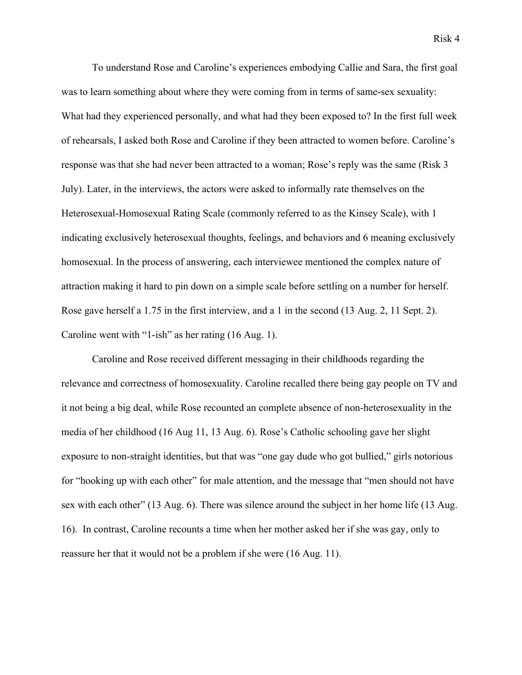To understand Rose and Caroline's experiences embodying Callie and Sara, the first goal was to learn something about where they were coming from in terms of same-sex sexuality: What had they experienced personally, and what had they been exposed to? In the first full week of rehearsals, I asked both Rose and Caroline if they been attracted to women before. Caroline's response was that she had never been attracted to a woman; Rose's reply was the same (Risk 3 July). Later, in the interviews, the actors were asked to informally rate themselves on the Heterosexual-Homosexual Rating Scale (commonly referred to as the Kinsey Scale), with 1 indicating exclusively heterosexual thoughts, feelings, and behaviors and 6 meaning exclusively homosexual. In the process of answering, each interviewee mentioned the complex nature of attraction making it hard to pin down on a simple scale before settling on a number for herself. Rose gave herself a 1.75 in the first interview, and a 1 in the second (13 Aug. 2, 11 Sept. 2). Caroline went with "1-ish" as her rating (16 Aug. 1).

Caroline and Rose received different messaging in their childhoods regarding the relevance and correctness of homosexuality. Caroline recalled there being gay people on TV and it not being a big deal, while Rose recounted an complete absence of non-heterosexuality in the media of her childhood (16 Aug 11, 13 Aug. 6). Rose's Catholic schooling gave her slight exposure to non-straight identities, but that was "one gay dude who got bullied," girls notorious for "hooking up with each other" for male attention, and the message that "men should not have sex with each other" (13 Aug. 6). There was silence around the subject in her home life (13 Aug. 16). In contrast, Caroline recounts a time when her mother asked her if she was gay, only to reassure her that it would not be a problem if she were (16 Aug. 11).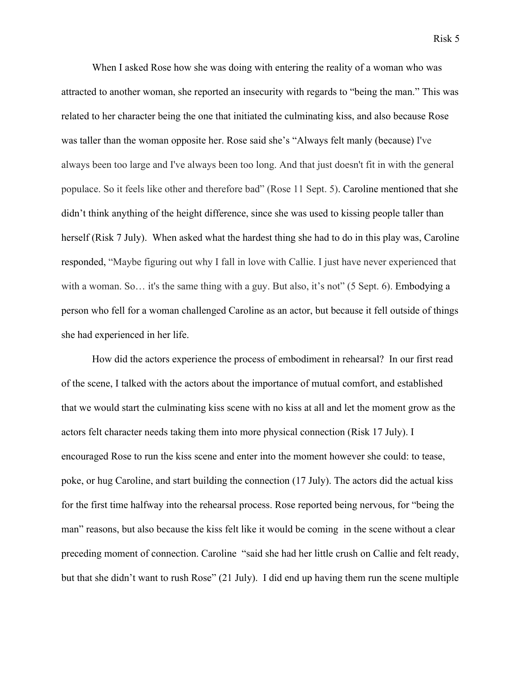When I asked Rose how she was doing with entering the reality of a woman who was attracted to another woman, she reported an insecurity with regards to "being the man." This was related to her character being the one that initiated the culminating kiss, and also because Rose was taller than the woman opposite her. Rose said she's "Always felt manly (because) I've always been too large and I've always been too long. And that just doesn't fit in with the general populace. So it feels like other and therefore bad" (Rose 11 Sept. 5). Caroline mentioned that she didn't think anything of the height difference, since she was used to kissing people taller than herself (Risk 7 July). When asked what the hardest thing she had to do in this play was, Caroline responded, "Maybe figuring out why I fall in love with Callie. I just have never experienced that with a woman. So... it's the same thing with a guy. But also, it's not" (5 Sept. 6). Embodying a

person who fell for a woman challenged Caroline as an actor, but because it fell outside of things she had experienced in her life.

How did the actors experience the process of embodiment in rehearsal? In our first read of the scene, I talked with the actors about the importance of mutual comfort, and established that we would start the culminating kiss scene with no kiss at all and let the moment grow as the actors felt character needs taking them into more physical connection (Risk 17 July). I encouraged Rose to run the kiss scene and enter into the moment however she could: to tease, poke, or hug Caroline, and start building the connection (17 July). The actors did the actual kiss for the first time halfway into the rehearsal process. Rose reported being nervous, for "being the man" reasons, but also because the kiss felt like it would be coming in the scene without a clear preceding moment of connection. Caroline "said she had her little crush on Callie and felt ready, but that she didn't want to rush Rose" (21 July). I did end up having them run the scene multiple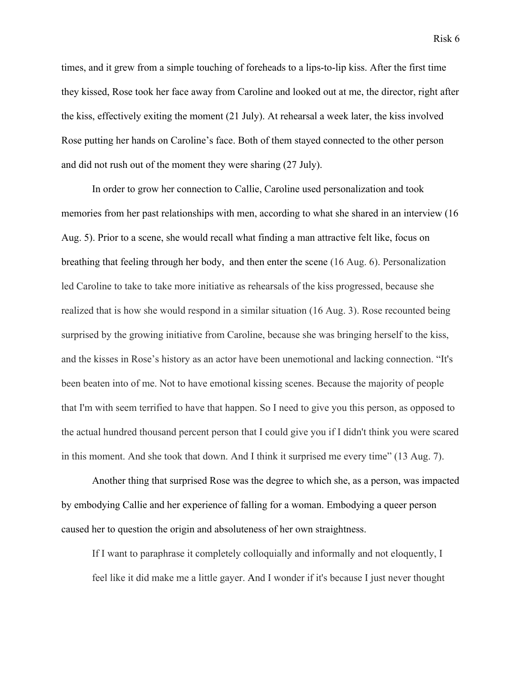times, and it grew from a simple touching of foreheads to a lips-to-lip kiss. After the first time they kissed, Rose took her face away from Caroline and looked out at me, the director, right after the kiss, effectively exiting the moment (21 July). At rehearsal a week later, the kiss involved Rose putting her hands on Caroline's face. Both of them stayed connected to the other person and did not rush out of the moment they were sharing (27 July).

In order to grow her connection to Callie, Caroline used personalization and took memories from her past relationships with men, according to what she shared in an interview (16 Aug. 5). Prior to a scene, she would recall what finding a man attractive felt like, focus on breathing that feeling through her body, and then enter the scene (16 Aug. 6). Personalization led Caroline to take to take more initiative as rehearsals of the kiss progressed, because she realized that is how she would respond in a similar situation (16 Aug. 3). Rose recounted being surprised by the growing initiative from Caroline, because she was bringing herself to the kiss, and the kisses in Rose's history as an actor have been unemotional and lacking connection. "It's been beaten into of me. Not to have emotional kissing scenes. Because the majority of people that I'm with seem terrified to have that happen. So I need to give you this person, as opposed to the actual hundred thousand percent person that I could give you if I didn't think you were scared in this moment. And she took that down. And I think it surprised me every time" (13 Aug. 7).

Another thing that surprised Rose was the degree to which she, as a person, was impacted by embodying Callie and her experience of falling for a woman. Embodying a queer person caused her to question the origin and absoluteness of her own straightness.

If I want to paraphrase it completely colloquially and informally and not eloquently, I feel like it did make me a little gayer. And I wonder if it's because I just never thought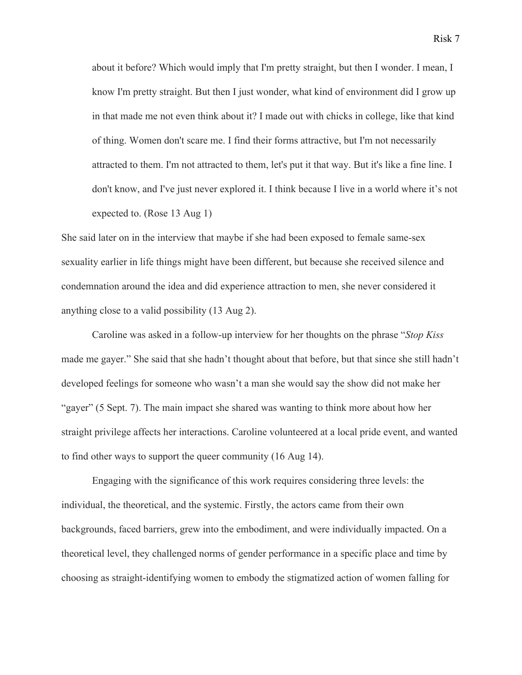about it before? Which would imply that I'm pretty straight, but then I wonder. I mean, I know I'm pretty straight. But then I just wonder, what kind of environment did I grow up in that made me not even think about it? I made out with chicks in college, like that kind of thing. Women don't scare me. I find their forms attractive, but I'm not necessarily attracted to them. I'm not attracted to them, let's put it that way. But it's like a fine line. I don't know, and I've just never explored it. I think because I live in a world where it's not expected to. (Rose 13 Aug 1)

She said later on in the interview that maybe if she had been exposed to female same-sex sexuality earlier in life things might have been different, but because she received silence and condemnation around the idea and did experience attraction to men, she never considered it anything close to a valid possibility (13 Aug 2).

Caroline was asked in a follow-up interview for her thoughts on the phrase "*Stop Kiss* made me gayer." She said that she hadn't thought about that before, but that since she still hadn't developed feelings for someone who wasn't a man she would say the show did not make her "gayer" (5 Sept. 7). The main impact she shared was wanting to think more about how her straight privilege affects her interactions. Caroline volunteered at a local pride event, and wanted to find other ways to support the queer community (16 Aug 14).

Engaging with the significance of this work requires considering three levels: the individual, the theoretical, and the systemic. Firstly, the actors came from their own backgrounds, faced barriers, grew into the embodiment, and were individually impacted. On a theoretical level, they challenged norms of gender performance in a specific place and time by choosing as straight-identifying women to embody the stigmatized action of women falling for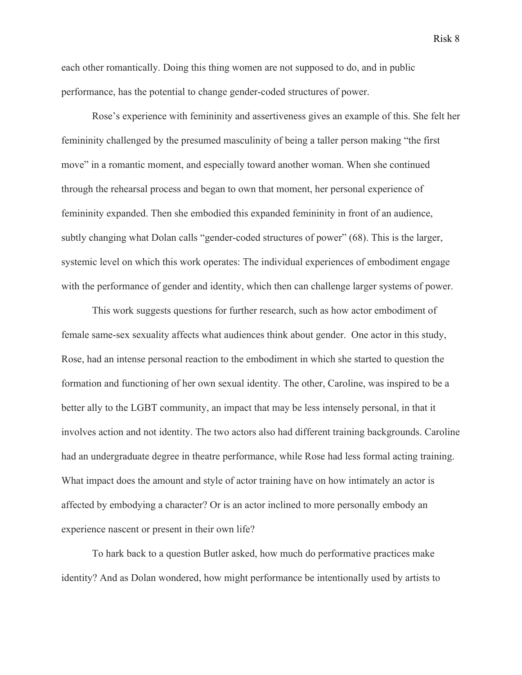each other romantically. Doing this thing women are not supposed to do, and in public performance, has the potential to change gender-coded structures of power.

Rose's experience with femininity and assertiveness gives an example of this. She felt her femininity challenged by the presumed masculinity of being a taller person making "the first move" in a romantic moment, and especially toward another woman. When she continued through the rehearsal process and began to own that moment, her personal experience of femininity expanded. Then she embodied this expanded femininity in front of an audience, subtly changing what Dolan calls "gender-coded structures of power" (68). This is the larger, systemic level on which this work operates: The individual experiences of embodiment engage with the performance of gender and identity, which then can challenge larger systems of power.

This work suggests questions for further research, such as how actor embodiment of female same-sex sexuality affects what audiences think about gender. One actor in this study, Rose, had an intense personal reaction to the embodiment in which she started to question the formation and functioning of her own sexual identity. The other, Caroline, was inspired to be a better ally to the LGBT community, an impact that may be less intensely personal, in that it involves action and not identity. The two actors also had different training backgrounds. Caroline had an undergraduate degree in theatre performance, while Rose had less formal acting training. What impact does the amount and style of actor training have on how intimately an actor is affected by embodying a character? Or is an actor inclined to more personally embody an experience nascent or present in their own life?

To hark back to a question Butler asked, how much do performative practices make identity? And as Dolan wondered, how might performance be intentionally used by artists to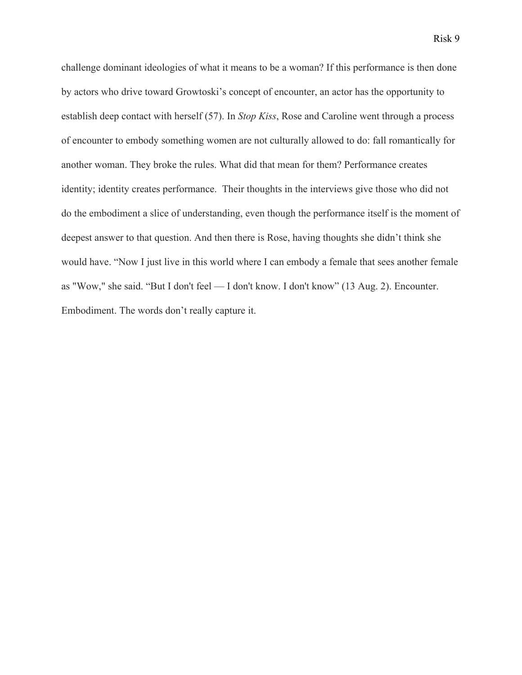challenge dominant ideologies of what it means to be a woman? If this performance is then done by actors who drive toward Growtoski's concept of encounter, an actor has the opportunity to establish deep contact with herself (57). In *Stop Kiss*, Rose and Caroline went through a process of encounter to embody something women are not culturally allowed to do: fall romantically for another woman. They broke the rules. What did that mean for them? Performance creates identity; identity creates performance. Their thoughts in the interviews give those who did not do the embodiment a slice of understanding, even though the performance itself is the moment of deepest answer to that question. And then there is Rose, having thoughts she didn't think she would have. "Now I just live in this world where I can embody a female that sees another female as "Wow," she said. "But I don't feel — I don't know. I don't know" (13 Aug. 2). Encounter. Embodiment. The words don't really capture it.